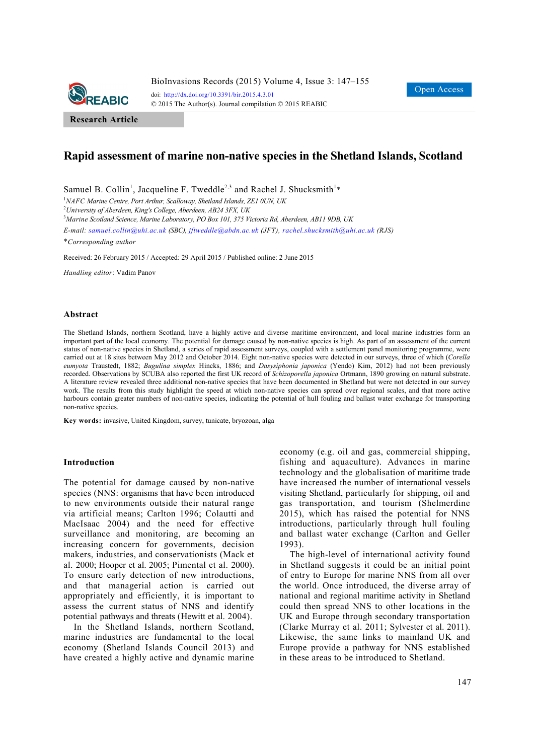

**Research Article**

# **Rapid assessment of marine non-native species in the Shetland Islands, Scotland**

Samuel B. Collin<sup>1</sup>, Jacqueline F. Tweddle<sup>2,3</sup> and Rachel J. Shucksmith<sup>1</sup>\*

<sup>1</sup>NAFC Marine Centre, Port Arthur, Scalloway, Shetland Islands, ZE1 0UN, UK

2 *University of Aberdeen, King's College, Aberdeen, AB24 3FX, UK* 

3 *Marine Scotland Science, Marine Laboratory, PO Box 101, 375 Victoria Rd, Aberdeen, AB11 9DB, UK* 

*E-mail: samuel.collin@uhi.ac.uk (SBC), jftweddle@abdn.ac.uk (JFT), rachel.shucksmith@uhi.ac.uk (RJS)*

\**Corresponding author* 

Received: 26 February 2015 / Accepted: 29 April 2015 / Published online: 2 June 2015

*Handling editor*: Vadim Panov

#### **Abstract**

The Shetland Islands, northern Scotland, have a highly active and diverse maritime environment, and local marine industries form an important part of the local economy. The potential for damage caused by non-native species is high. As part of an assessment of the current status of non-native species in Shetland, a series of rapid assessment surveys, coupled with a settlement panel monitoring programme, were carried out at 18 sites between May 2012 and October 2014. Eight non-native species were detected in our surveys, three of which (*Corella eumyota* Traustedt, 1882; *Bugulina simplex* Hincks, 1886; and *Dasysiphonia japonica* (Yendo) Kim, 2012) had not been previously recorded. Observations by SCUBA also reported the first UK record of *Schizoporella japonica* Ortmann, 1890 growing on natural substrate. A literature review revealed three additional non-native species that have been documented in Shetland but were not detected in our survey work. The results from this study highlight the speed at which non-native species can spread over regional scales, and that more active harbours contain greater numbers of non-native species, indicating the potential of hull fouling and ballast water exchange for transporting non-native species.

**Key words:** invasive, United Kingdom, survey, tunicate, bryozoan, alga

#### **Introduction**

The potential for damage caused by non-native species (NNS: organisms that have been introduced to new environments outside their natural range via artificial means; Carlton 1996; Colautti and MacIsaac 2004) and the need for effective surveillance and monitoring, are becoming an increasing concern for governments, decision makers, industries, and conservationists (Mack et al. 2000; Hooper et al. 2005; Pimental et al. 2000). To ensure early detection of new introductions, and that managerial action is carried out appropriately and efficiently, it is important to assess the current status of NNS and identify potential pathways and threats (Hewitt et al. 2004).

In the Shetland Islands, northern Scotland, marine industries are fundamental to the local economy (Shetland Islands Council 2013) and have created a highly active and dynamic marine economy (e.g. oil and gas, commercial shipping, fishing and aquaculture). Advances in marine technology and the globalisation of maritime trade have increased the number of international vessels visiting Shetland, particularly for shipping, oil and gas transportation, and tourism (Shelmerdine 2015), which has raised the potential for NNS introductions, particularly through hull fouling and ballast water exchange (Carlton and Geller 1993).

The high-level of international activity found in Shetland suggests it could be an initial point of entry to Europe for marine NNS from all over the world. Once introduced, the diverse array of national and regional maritime activity in Shetland could then spread NNS to other locations in the UK and Europe through secondary transportation (Clarke Murray et al. 2011; Sylvester et al. 2011). Likewise, the same links to mainland UK and Europe provide a pathway for NNS established in these areas to be introduced to Shetland.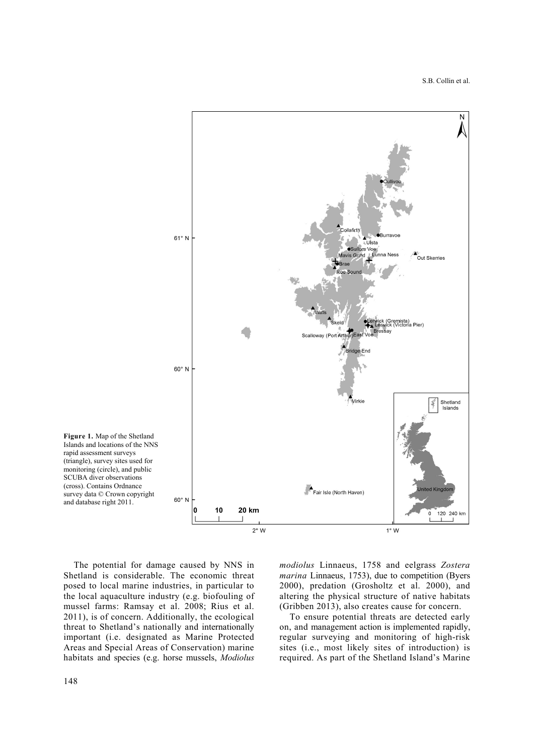

The potential for damage caused by NNS in Shetland is considerable. The economic threat posed to local marine industries, in particular to the local aquaculture industry (e.g. biofouling of mussel farms: Ramsay et al. 2008; Rius et al. 2011), is of concern. Additionally, the ecological threat to Shetland's nationally and internationally important (i.e. designated as Marine Protected Areas and Special Areas of Conservation) marine habitats and species (e.g. horse mussels, *Modiolus* 

*modiolus* Linnaeus, 1758 and eelgrass *Zostera marina* Linnaeus, 1753), due to competition (Byers 2000), predation (Grosholtz et al. 2000), and altering the physical structure of native habitats (Gribben 2013), also creates cause for concern.

To ensure potential threats are detected early on, and management action is implemented rapidly, regular surveying and monitoring of high-risk sites (i.e., most likely sites of introduction) is required. As part of the Shetland Island's Marine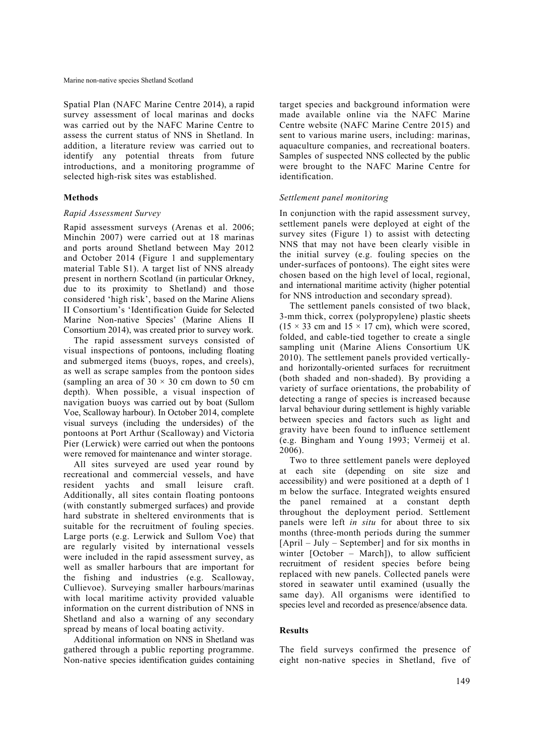Spatial Plan (NAFC Marine Centre 2014), a rapid survey assessment of local marinas and docks was carried out by the NAFC Marine Centre to assess the current status of NNS in Shetland. In addition, a literature review was carried out to identify any potential threats from future introductions, and a monitoring programme of selected high-risk sites was established.

## **Methods**

### *Rapid Assessment Survey*

Rapid assessment surveys (Arenas et al. 2006; Minchin 2007) were carried out at 18 marinas and ports around Shetland between May 2012 and October 2014 (Figure 1 and supplementary material Table S1). A target list of NNS already present in northern Scotland (in particular Orkney, due to its proximity to Shetland) and those considered 'high risk', based on the Marine Aliens II Consortium's 'Identification Guide for Selected Marine Non-native Species' (Marine Aliens II Consortium 2014), was created prior to survey work.

The rapid assessment surveys consisted of visual inspections of pontoons, including floating and submerged items (buoys, ropes, and creels), as well as scrape samples from the pontoon sides (sampling an area of  $30 \times 30$  cm down to 50 cm depth). When possible, a visual inspection of navigation buoys was carried out by boat (Sullom Voe, Scalloway harbour). In October 2014, complete visual surveys (including the undersides) of the pontoons at Port Arthur (Scalloway) and Victoria Pier (Lerwick) were carried out when the pontoons were removed for maintenance and winter storage.

All sites surveyed are used year round by recreational and commercial vessels, and have resident yachts and small leisure craft. Additionally, all sites contain floating pontoons (with constantly submerged surfaces) and provide hard substrate in sheltered environments that is suitable for the recruitment of fouling species. Large ports (e.g. Lerwick and Sullom Voe) that are regularly visited by international vessels were included in the rapid assessment survey, as well as smaller harbours that are important for the fishing and industries (e.g. Scalloway, Cullievoe). Surveying smaller harbours/marinas with local maritime activity provided valuable information on the current distribution of NNS in Shetland and also a warning of any secondary spread by means of local boating activity.

Additional information on NNS in Shetland was gathered through a public reporting programme. Non-native species identification guides containing target species and background information were made available online via the NAFC Marine Centre website (NAFC Marine Centre 2015) and sent to various marine users, including: marinas, aquaculture companies, and recreational boaters. Samples of suspected NNS collected by the public were brought to the NAFC Marine Centre for identification.

### *Settlement panel monitoring*

In conjunction with the rapid assessment survey, settlement panels were deployed at eight of the survey sites (Figure 1) to assist with detecting NNS that may not have been clearly visible in the initial survey (e.g. fouling species on the under-surfaces of pontoons). The eight sites were chosen based on the high level of local, regional, and international maritime activity (higher potential for NNS introduction and secondary spread).

The settlement panels consisted of two black, 3-mm thick, correx (polypropylene) plastic sheets  $(15 \times 33 \text{ cm and } 15 \times 17 \text{ cm})$ , which were scored, folded, and cable-tied together to create a single sampling unit (Marine Aliens Consortium UK 2010). The settlement panels provided verticallyand horizontally-oriented surfaces for recruitment (both shaded and non-shaded). By providing a variety of surface orientations, the probability of detecting a range of species is increased because larval behaviour during settlement is highly variable between species and factors such as light and gravity have been found to influence settlement (e.g. Bingham and Young 1993; Vermeij et al. 2006).

Two to three settlement panels were deployed at each site (depending on site size and accessibility) and were positioned at a depth of 1 m below the surface. Integrated weights ensured the panel remained at a constant depth throughout the deployment period. Settlement panels were left *in situ* for about three to six months (three-month periods during the summer [April – July – September] and for six months in winter [October – March]), to allow sufficient recruitment of resident species before being replaced with new panels. Collected panels were stored in seawater until examined (usually the same day). All organisms were identified to species level and recorded as presence/absence data.

### **Results**

The field surveys confirmed the presence of eight non-native species in Shetland, five of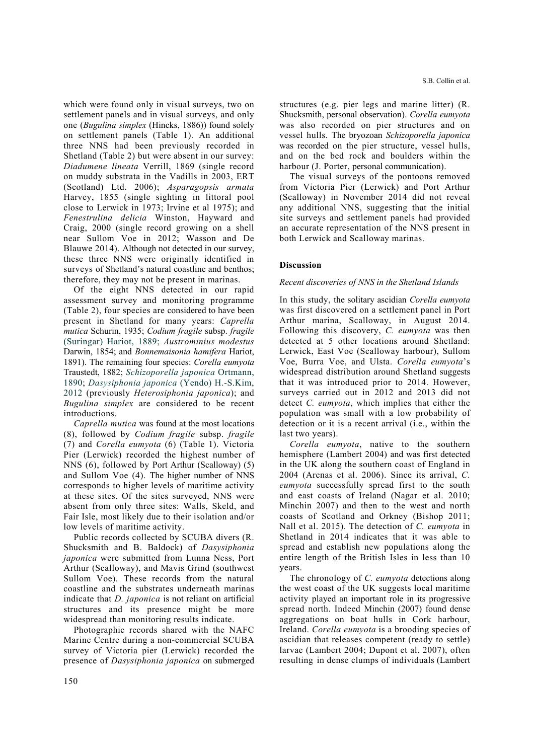which were found only in visual surveys, two on settlement panels and in visual surveys, and only one (*Bugulina simplex* (Hincks, 1886)) found solely on settlement panels (Table 1). An additional three NNS had been previously recorded in Shetland (Table 2) but were absent in our survey: *Diadumene lineata* Verrill, 1869 (single record on muddy substrata in the Vadills in 2003, ERT (Scotland) Ltd. 2006); *Asparagopsis armata*  Harvey, 1855 (single sighting in littoral pool close to Lerwick in 1973; Irvine et al 1975); and *Fenestrulina delicia* Winston, Hayward and Craig, 2000 (single record growing on a shell near Sullom Voe in 2012; Wasson and De Blauwe 2014). Although not detected in our survey, these three NNS were originally identified in surveys of Shetland's natural coastline and benthos; therefore, they may not be present in marinas.

Of the eight NNS detected in our rapid assessment survey and monitoring programme (Table 2), four species are considered to have been present in Shetland for many years: *Caprella mutica* Schurin, 1935; *Codium fragile* subsp. *fragile* (Suringar) Hariot, 1889; *Austrominius modestus*  Darwin, 1854; and *Bonnemaisonia hamifera* Hariot, 1891). The remaining four species: *Corella eumyota* Traustedt, 1882; *Schizoporella japonica* Ortmann, 1890; *Dasysiphonia japonica* (Yendo) H.-S.Kim, 2012 (previously *Heterosiphonia japonica*); and *Bugulina simplex* are considered to be recent introductions.

*Caprella mutica* was found at the most locations (8), followed by *Codium fragile* subsp. *fragile*  (7) and *Corella eumyota* (6) (Table 1). Victoria Pier (Lerwick) recorded the highest number of NNS (6), followed by Port Arthur (Scalloway) (5) and Sullom Voe (4). The higher number of NNS corresponds to higher levels of maritime activity at these sites. Of the sites surveyed, NNS were absent from only three sites: Walls, Skeld, and Fair Isle, most likely due to their isolation and/or low levels of maritime activity.

Public records collected by SCUBA divers (R. Shucksmith and B. Baldock) of *Dasysiphonia japonica* were submitted from Lunna Ness, Port Arthur (Scalloway), and Mavis Grind (southwest Sullom Voe). These records from the natural coastline and the substrates underneath marinas indicate that *D. japonica* is not reliant on artificial structures and its presence might be more widespread than monitoring results indicate.

Photographic records shared with the NAFC Marine Centre during a non-commercial SCUBA survey of Victoria pier (Lerwick) recorded the presence of *Dasysiphonia japonica* on submerged structures (e.g. pier legs and marine litter) (R. Shucksmith, personal observation). *Corella eumyota* was also recorded on pier structures and on vessel hulls. The bryozoan *Schizoporella japonica*  was recorded on the pier structure, vessel hulls, and on the bed rock and boulders within the harbour (J. Porter, personal communication).

The visual surveys of the pontoons removed from Victoria Pier (Lerwick) and Port Arthur (Scalloway) in November 2014 did not reveal any additional NNS, suggesting that the initial site surveys and settlement panels had provided an accurate representation of the NNS present in both Lerwick and Scalloway marinas.

### **Discussion**

#### *Recent discoveries of NNS in the Shetland Islands*

In this study, the solitary ascidian *Corella eumyota*  was first discovered on a settlement panel in Port Arthur marina, Scalloway, in August 2014. Following this discovery, *C. eumyota* was then detected at 5 other locations around Shetland: Lerwick, East Voe (Scalloway harbour), Sullom Voe, Burra Voe, and Ulsta. *Corella eumyota*'s widespread distribution around Shetland suggests that it was introduced prior to 2014. However, surveys carried out in 2012 and 2013 did not detect *C. eumyota*, which implies that either the population was small with a low probability of detection or it is a recent arrival (i.e., within the last two years).

*Corella eumyota*, native to the southern hemisphere (Lambert 2004) and was first detected in the UK along the southern coast of England in 2004 (Arenas et al. 2006). Since its arrival, *C. eumyota* successfully spread first to the south and east coasts of Ireland (Nagar et al. 2010; Minchin 2007) and then to the west and north coasts of Scotland and Orkney (Bishop 2011; Nall et al. 2015). The detection of *C. eumyota* in Shetland in 2014 indicates that it was able to spread and establish new populations along the entire length of the British Isles in less than 10 years.

The chronology of *C. eumyota* detections along the west coast of the UK suggests local maritime activity played an important role in its progressive spread north. Indeed Minchin (2007) found dense aggregations on boat hulls in Cork harbour, Ireland. *Corella eumyota* is a brooding species of ascidian that releases competent (ready to settle) larvae (Lambert 2004; Dupont et al. 2007), often resulting in dense clumps of individuals (Lambert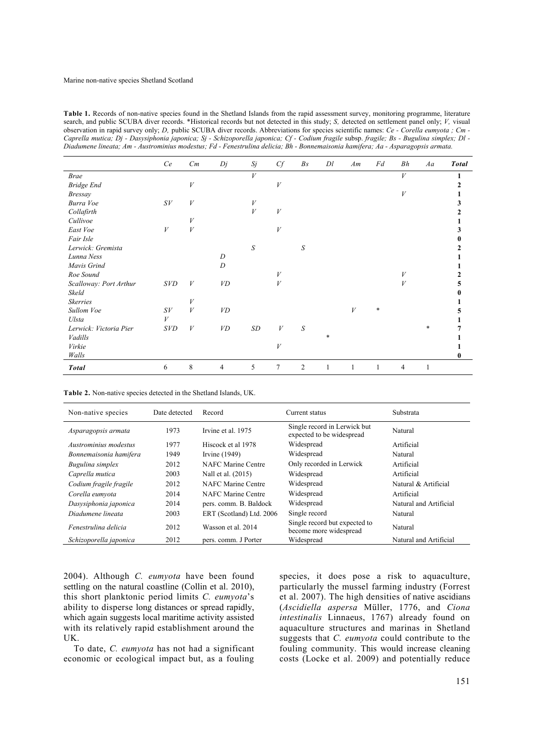Table 1. Records of non-native species found in the Shetland Islands from the rapid assessment survey, monitoring programme, literature search, and public SCUBA diver records. \*Historical records but not detected in this study; *S*, detected on settlement panel only; *V*, visual observation in rapid survey only; *D,* public SCUBA diver records. Abbreviations for species scientific names: *Ce - Corella eumyota ; Cm - Caprella mutica; Dj - Dasysiphonia japonica; Sj - Schizoporella japonica; Cf - Codium fragile subsp. fragile; Bs - Bugulina simplex; Dl -Diadumene lineata; Am - Austrominius modestus; Fd - Fenestrulina delicia; Bh - Bonnemaisonia hamifera; Aa - Asparagopsis armata.* 

|                        | Ce         | Cm               | Dj               | Sj               | C f              | B <sub>S</sub> | Dl | Am | Fd     | Bh               | Aa | <b>Total</b> |
|------------------------|------------|------------------|------------------|------------------|------------------|----------------|----|----|--------|------------------|----|--------------|
| <b>Brae</b>            |            |                  |                  | $\boldsymbol{V}$ |                  |                |    |    |        | $\boldsymbol{V}$ |    |              |
| Bridge End             |            | V                |                  |                  | V                |                |    |    |        |                  |    |              |
| <b>Bressay</b>         |            |                  |                  |                  |                  |                |    |    |        | V                |    |              |
| Burra Voe              | S V        | V                |                  | $\boldsymbol{V}$ |                  |                |    |    |        |                  |    |              |
| Collafirth             |            |                  |                  | $\boldsymbol{V}$ | $\boldsymbol{V}$ |                |    |    |        |                  |    |              |
| Cullivoe               |            | V                |                  |                  |                  |                |    |    |        |                  |    |              |
| East Voe               | V          | V                |                  |                  | V                |                |    |    |        |                  |    |              |
| Fair Isle              |            |                  |                  |                  |                  |                |    |    |        |                  |    |              |
| Lerwick: Gremista      |            |                  |                  | ${\cal S}$       |                  | S              |    |    |        |                  |    |              |
| Lunna Ness             |            |                  | D                |                  |                  |                |    |    |        |                  |    |              |
| Mavis Grind            |            |                  | $\boldsymbol{D}$ |                  |                  |                |    |    |        |                  |    |              |
| Roe Sound              |            |                  |                  |                  | V                |                |    |    |        | V                |    |              |
| Scalloway: Port Arthur | <i>SVD</i> | V                | VD               |                  | V                |                |    |    |        | V                |    |              |
| Skeld                  |            |                  |                  |                  |                  |                |    |    |        |                  |    |              |
| <b>Skerries</b>        |            | V                |                  |                  |                  |                |    |    |        |                  |    |              |
| Sullom Voe             | S V        | $\boldsymbol{V}$ | VD               |                  |                  |                |    | V  | $\ast$ |                  |    |              |
| Ulsta                  | V          |                  |                  |                  |                  |                |    |    |        |                  |    |              |
| Lerwick: Victoria Pier | <i>SVD</i> | V                | VD               | SD               | V                | S              |    |    |        |                  | *  |              |
| Vadills                |            |                  |                  |                  |                  |                | *  |    |        |                  |    |              |
| Virkie                 |            |                  |                  |                  | V                |                |    |    |        |                  |    |              |
| Walls                  |            |                  |                  |                  |                  |                |    |    |        |                  |    |              |
| <b>Total</b>           | 6          | 8                | 4                | 5                | 7                | $\overline{2}$ |    |    |        | $\overline{4}$   |    |              |

**Table 2.** Non-native species detected in the Shetland Islands, UK.

| Non-native species     | Date detected | Record                    | Current status                                            | Substrata              |  |
|------------------------|---------------|---------------------------|-----------------------------------------------------------|------------------------|--|
| Asparagopsis armata    | 1973          | Irvine et al. 1975        | Single record in Lerwick but<br>expected to be widespread | Natural                |  |
| Austrominius modestus  | 1977          | Hiscock et al 1978        | Widespread                                                | Artificial             |  |
| Bonnemaisonia hamifera | 1949          | Irvine $(1949)$           | Widespread                                                | Natural                |  |
| Bugulina simplex       | 2012          | NAFC Marine Centre        | Only recorded in Lerwick                                  | Artificial             |  |
| Caprella mutica        | 2003          | Nall et al. (2015)        | Widespread                                                | Artificial             |  |
| Codium fragile fragile | 2012          | <b>NAFC Marine Centre</b> | Widespread                                                | Natural & Artificial   |  |
| Corella eumvota        | 2014          | NAFC Marine Centre        | Widespread                                                | Artificial             |  |
| Dasysiphonia japonica  | 2014          | pers. comm. B. Baldock    | Widespread                                                | Natural and Artificial |  |
| Diadumene lineata      | 2003          | ERT (Scotland) Ltd. 2006  | Single record                                             | Natural                |  |
| Fenestrulina delicia   | 2012          | Wasson et al. 2014        | Single record but expected to<br>become more widespread   | Natural                |  |
| Schizoporella japonica | 2012          | pers. comm. J Porter      | Widespread                                                | Natural and Artificial |  |

2004). Although *C. eumyota* have been found settling on the natural coastline (Collin et al. 2010), this short planktonic period limits *C. eumyota*'s ability to disperse long distances or spread rapidly, which again suggests local maritime activity assisted with its relatively rapid establishment around the UK.

To date, *C. eumyota* has not had a significant economic or ecological impact but, as a fouling

species, it does pose a risk to aquaculture, particularly the mussel farming industry (Forrest et al. 2007). The high densities of native ascidians (*Ascidiella aspersa* Müller, 1776, and *Ciona intestinalis* Linnaeus, 1767) already found on aquaculture structures and marinas in Shetland suggests that *C. eumyota* could contribute to the fouling community. This would increase cleaning costs (Locke et al. 2009) and potentially reduce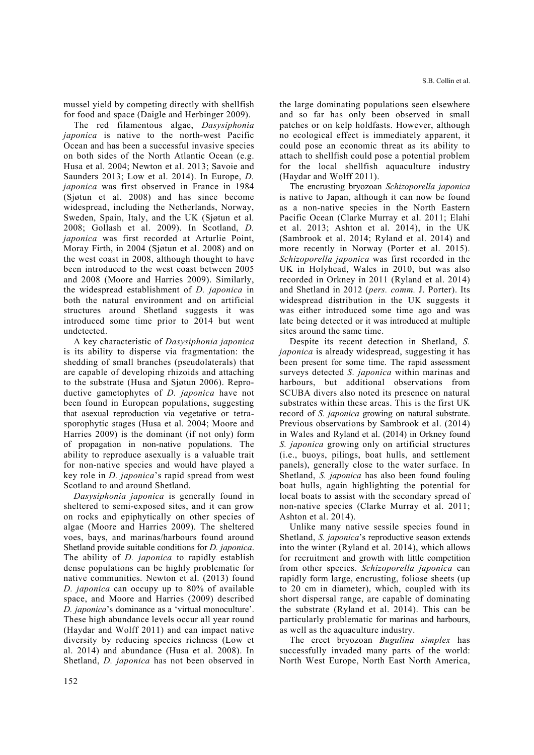mussel yield by competing directly with shellfish for food and space (Daigle and Herbinger 2009).

The red filamentous algae, *Dasysiphonia japonica* is native to the north-west Pacific Ocean and has been a successful invasive species on both sides of the North Atlantic Ocean (e.g. Husa et al. 2004; Newton et al. 2013; Savoie and Saunders 2013; Low et al. 2014). In Europe, *D. japonica* was first observed in France in 1984 (Sjøtun et al. 2008) and has since become widespread, including the Netherlands, Norway, Sweden, Spain, Italy, and the UK (Sjøtun et al. 2008; Gollash et al. 2009). In Scotland, *D. japonica* was first recorded at Arturlie Point, Moray Firth, in 2004 (Sjøtun et al. 2008) and on the west coast in 2008, although thought to have been introduced to the west coast between 2005 and 2008 (Moore and Harries 2009). Similarly, the widespread establishment of *D. japonica* in both the natural environment and on artificial structures around Shetland suggests it was introduced some time prior to 2014 but went undetected.

A key characteristic of *Dasysiphonia japonica*  is its ability to disperse via fragmentation: the shedding of small branches (pseudolaterals) that are capable of developing rhizoids and attaching to the substrate (Husa and Sjøtun 2006). Reproductive gametophytes of *D. japonica* have not been found in European populations, suggesting that asexual reproduction via vegetative or tetrasporophytic stages (Husa et al. 2004; Moore and Harries 2009) is the dominant (if not only) form of propagation in non-native populations. The ability to reproduce asexually is a valuable trait for non-native species and would have played a key role in *D. japonica*'s rapid spread from west Scotland to and around Shetland.

*Dasysiphonia japonica* is generally found in sheltered to semi-exposed sites, and it can grow on rocks and epiphytically on other species of algae (Moore and Harries 2009). The sheltered voes, bays, and marinas/harbours found around Shetland provide suitable conditions for *D. japonica*. The ability of *D. japonica* to rapidly establish dense populations can be highly problematic for native communities. Newton et al. (2013) found *D. japonica* can occupy up to 80% of available space, and Moore and Harries (2009) described *D. japonica*'s dominance as a 'virtual monoculture'. These high abundance levels occur all year round (Haydar and Wolff 2011) and can impact native diversity by reducing species richness (Low et al. 2014) and abundance (Husa et al. 2008). In Shetland, *D. japonica* has not been observed in

the large dominating populations seen elsewhere and so far has only been observed in small patches or on kelp holdfasts. However, although no ecological effect is immediately apparent, it could pose an economic threat as its ability to attach to shellfish could pose a potential problem for the local shellfish aquaculture industry (Haydar and Wolff 2011).

The encrusting bryozoan *Schizoporella japonica*  is native to Japan, although it can now be found as a non-native species in the North Eastern Pacific Ocean (Clarke Murray et al. 2011; Elahi et al. 2013; Ashton et al. 2014), in the UK (Sambrook et al. 2014; Ryland et al. 2014) and more recently in Norway (Porter et al. 2015). *Schizoporella japonica* was first recorded in the UK in Holyhead, Wales in 2010, but was also recorded in Orkney in 2011 (Ryland et al. 2014) and Shetland in 2012 (*pers. comm.* J. Porter). Its widespread distribution in the UK suggests it was either introduced some time ago and was late being detected or it was introduced at multiple sites around the same time.

Despite its recent detection in Shetland, *S. japonica* is already widespread, suggesting it has been present for some time. The rapid assessment surveys detected *S. japonica* within marinas and harbours, but additional observations from SCUBA divers also noted its presence on natural substrates within these areas. This is the first UK record of *S. japonica* growing on natural substrate. Previous observations by Sambrook et al. (2014) in Wales and Ryland et al. (2014) in Orkney found *S. japonica* growing only on artificial structures (i.e., buoys, pilings, boat hulls, and settlement panels), generally close to the water surface. In Shetland, *S. japonica* has also been found fouling boat hulls, again highlighting the potential for local boats to assist with the secondary spread of non-native species (Clarke Murray et al. 2011; Ashton et al. 2014).

Unlike many native sessile species found in Shetland, *S. japonica*'s reproductive season extends into the winter (Ryland et al. 2014), which allows for recruitment and growth with little competition from other species. *Schizoporella japonica* can rapidly form large, encrusting, foliose sheets (up to 20 cm in diameter), which, coupled with its short dispersal range, are capable of dominating the substrate (Ryland et al. 2014). This can be particularly problematic for marinas and harbours, as well as the aquaculture industry.

The erect bryozoan *Bugulina simplex* has successfully invaded many parts of the world: North West Europe, North East North America,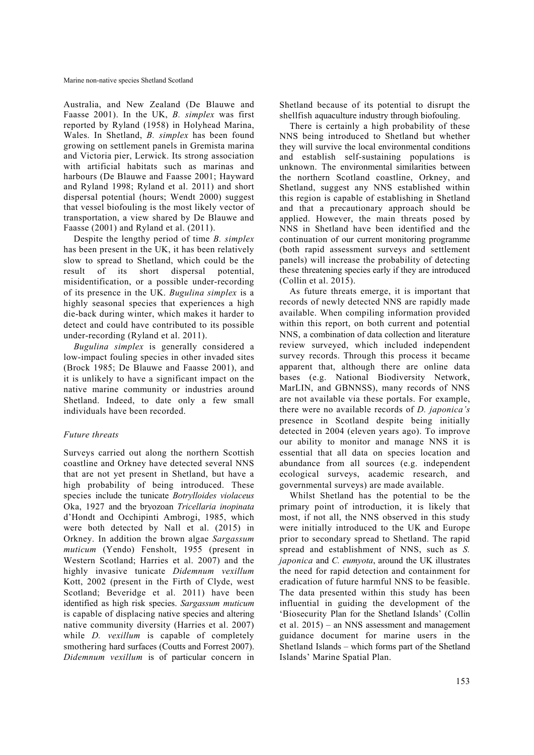Australia, and New Zealand (De Blauwe and Faasse 2001). In the UK, *B. simplex* was first reported by Ryland (1958) in Holyhead Marina, Wales. In Shetland, *B. simplex* has been found growing on settlement panels in Gremista marina and Victoria pier, Lerwick. Its strong association with artificial habitats such as marinas and harbours (De Blauwe and Faasse 2001; Hayward and Ryland 1998; Ryland et al. 2011) and short dispersal potential (hours; Wendt 2000) suggest that vessel biofouling is the most likely vector of transportation, a view shared by De Blauwe and Faasse (2001) and Ryland et al. (2011).

Despite the lengthy period of time *B. simplex*  has been present in the UK, it has been relatively slow to spread to Shetland, which could be the result of its short dispersal potential, misidentification, or a possible under-recording of its presence in the UK. *Bugulina simplex* is a highly seasonal species that experiences a high die-back during winter, which makes it harder to detect and could have contributed to its possible under-recording (Ryland et al. 2011).

*Bugulina simplex* is generally considered a low-impact fouling species in other invaded sites (Brock 1985; De Blauwe and Faasse 2001), and it is unlikely to have a significant impact on the native marine community or industries around Shetland. Indeed, to date only a few small individuals have been recorded.

## *Future threats*

Surveys carried out along the northern Scottish coastline and Orkney have detected several NNS that are not yet present in Shetland, but have a high probability of being introduced. These species include the tunicate *Botrylloides violaceus*  Oka, 1927 and the bryozoan *Tricellaria inopinata*  d'Hondt and Occhipinti Ambrogi, 1985, which were both detected by Nall et al. (2015) in Orkney. In addition the brown algae *Sargassum muticum* (Yendo) Fensholt, 1955 (present in Western Scotland; Harries et al. 2007) and the highly invasive tunicate *Didemnum vexillum*  Kott, 2002 (present in the Firth of Clyde, west Scotland; Beveridge et al. 2011) have been identified as high risk species. *Sargassum muticum*  is capable of displacing native species and altering native community diversity (Harries et al. 2007) while *D. vexillum* is capable of completely smothering hard surfaces (Coutts and Forrest 2007). *Didemnum vexillum* is of particular concern in Shetland because of its potential to disrupt the shellfish aquaculture industry through biofouling.

There is certainly a high probability of these NNS being introduced to Shetland but whether they will survive the local environmental conditions and establish self-sustaining populations is unknown. The environmental similarities between the northern Scotland coastline, Orkney, and Shetland, suggest any NNS established within this region is capable of establishing in Shetland and that a precautionary approach should be applied. However, the main threats posed by NNS in Shetland have been identified and the continuation of our current monitoring programme (both rapid assessment surveys and settlement panels) will increase the probability of detecting these threatening species early if they are introduced (Collin et al. 2015).

As future threats emerge, it is important that records of newly detected NNS are rapidly made available. When compiling information provided within this report, on both current and potential NNS, a combination of data collection and literature review surveyed, which included independent survey records. Through this process it became apparent that, although there are online data bases (e.g. National Biodiversity Network, MarLIN, and GBNNSS), many records of NNS are not available via these portals. For example, there were no available records of *D. japonica's*  presence in Scotland despite being initially detected in 2004 (eleven years ago). To improve our ability to monitor and manage NNS it is essential that all data on species location and abundance from all sources (e.g. independent ecological surveys, academic research, and governmental surveys) are made available.

Whilst Shetland has the potential to be the primary point of introduction, it is likely that most, if not all, the NNS observed in this study were initially introduced to the UK and Europe prior to secondary spread to Shetland. The rapid spread and establishment of NNS, such as *S. japonica* and *C. eumyota*, around the UK illustrates the need for rapid detection and containment for eradication of future harmful NNS to be feasible. The data presented within this study has been influential in guiding the development of the 'Biosecurity Plan for the Shetland Islands' (Collin et al. 2015) – an NNS assessment and management guidance document for marine users in the Shetland Islands – which forms part of the Shetland Islands' Marine Spatial Plan.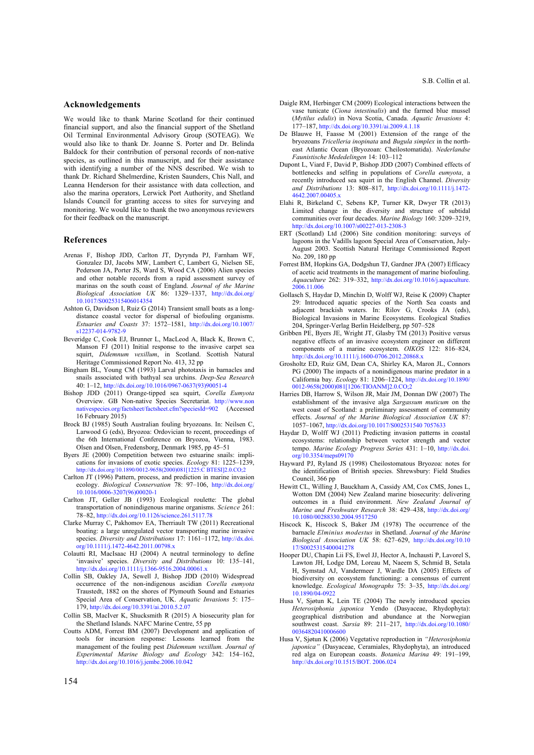#### **Acknowledgements**

We would like to thank Marine Scotland for their continued financial support, and also the financial support of the Shetland Oil Terminal Environmental Advisory Group (SOTEAG). We would also like to thank Dr. Joanne S. Porter and Dr. Belinda Baldock for their contribution of personal records of non-native species, as outlined in this manuscript, and for their assistance with identifying a number of the NNS described. We wish to thank Dr. Richard Shelmerdine, Kristen Saunders, Chis Nall, and Leanna Henderson for their assistance with data collection, and also the marina operators, Lerwick Port Authority, and Shetland Islands Council for granting access to sites for surveying and monitoring. We would like to thank the two anonymous reviewers for their feedback on the manuscript.

#### **References**

- Arenas F, Bishop JDD, Carlton JT, Dyrynda PJ, Farnham WF, Gonzalez DJ, Jacobs MW, Lambert C, Lambert G, Nielsen SE, Pederson JA, Porter JS, Ward S, Wood CA (2006) Alien species and other notable records from a rapid assessment survey of marinas on the south coast of England. *Journal of the Marine Biological Association UK* 86: 1329–1337, http://dx.doi.org/ 10.1017/S0025315406014354
- Ashton G, Davidson I, Ruiz G (2014) Transient small boats as a longdistance coastal vector for dispersal of biofouling organisms. *Estuaries and Coasts* 37: 1572–1581, http://dx.doi.org/10.1007/ s12237-014-9782-9
- Beveridge C, Cook EJ, Brunner L, MacLeod A, Black K, Brown C, Manson FJ (2011) Initial response to the invasive carpet sea squirt, *Didemnum vexillum*, in Scotland. Scottish Natural Heritage Commissioned Report No. 413, 32 pp
- Bingham BL, Young CM (1993) Larval phototaxis in barnacles and snails associated with bathyal sea urchins. *Deep-Sea Research* 40: 1–12, http://dx.doi.org/10.1016/0967-0637(93)90051-4
- Bishop JDD (2011) Orange-tipped sea squirt, *Corella Eumyota*  Overview. GB Non-native Species Secretariat. http://www.non nativespecies.org/factsheet/factsheet.cfm?speciesId=902 (Accessed 16 February 2015)
- Brock BJ (1985) South Australian fouling bryozoans. In: Neilsen C, Larwood G (eds), Bryozoa: Ordovician to recent, proceedings of the 6th International Conference on Bryozoa, Vienna, 1983. Olsen and Olsen, Fredensborg, Denmark 1985, pp 45–51
- Byers JE (2000) Competition between two estuarine snails: implications for invasions of exotic species. *Ecology* 81: 1225–1239, http://dx.doi.org/10.1890/0012-9658(2000)081[1225:C BTESI]2.0.CO;2
- Carlton JT (1996) Pattern, process, and prediction in marine invasion ecology. *Biological Conservation* 78: 97–106, http://dx.doi.org/ 10.1016/0006-3207(96)00020-1
- Carlton JT, Geller JB (1993) Ecological roulette: The global transportation of nonindigenous marine organisms. *Science* 261: 78–82, http://dx.doi.org/10.1126/science.261.5117.78
- Clarke Murray C, Pakhomov EA, Therriault TW (2011) Recreational boating: a large unregulated vector transporting marine invasive species. *Diversity and Distributions* 17: 1161–1172, http://dx.doi. org/10.1111/j.1472-4642.2011.00798.x
- Colautti RI, MacIsaac HJ (2004) A neutral terminology to define 'invasive' species. *Diversity and Distributions* 10: 135–141, http://dx.doi.org/10.1111/j.1366-9516.2004.00061.x
- Collin SB, Oakley JA, Sewell J, Bishop JDD (2010) Widespread occurrence of the non-indigenous ascidian *Corella eumyota*  Traustedt, 1882 on the shores of Plymouth Sound and Estuaries Special Area of Conservation, UK. *Aquatic Invasions* 5: 175– 179, http://dx.doi.org/10.3391/ai.2010.5.2.07
- Collin SB, MacIver K, Shucksmith R (2015) A biosecurity plan for the Shetland Islands. NAFC Marine Centre, 55 pp
- Coutts ADM, Forrest BM (2007) Development and application of tools for incursion response: Lessons learned from the management of the fouling pest *Didemnum vexillum. Journal of Experimental Marine Biology and Ecology* 342: 154–162, http://dx.doi.org/10.1016/j.jembe.2006.10.042
- Daigle RM, Herbinger CM (2009) Ecological interactions between the vase tunicate (*Ciona intestinalis*) and the farmed blue mussel (*Mytilus edulis*) in Nova Scotia, Canada. *Aquatic Invasions* 4: 177–187, http://dx.doi.org/10.3391/ai.2009.4.1.18
- De Blauwe H, Faasse M (2001) Extension of the range of the bryozoans *Tricelleria inopinata* and *Bugula simplex* in the northeast Atlantic Ocean (Bryozoan: Cheilostomatida). *Nederlandse Faunistische Mededelingen* 14: 103–112
- Dupont L, Viard F, David P, Bishop JDD (2007) Combined effects of bottlenecks and selfing in populations of *Corella eumyota*, a recently introduced sea squirt in the English Channel. *Diversity and Distributions* 13: 808–817, http://dx.doi.org/10.1111/j.1472- 4642.2007.00405.x
- Elahi R, Birkeland C, Sebens KP, Turner KR, Dwyer TR (2013) Limited change in the diversity and structure of subtidal communities over four decades. *Marine Biology* 160: 3209–3219, http://dx.doi.org/10.1007/s00227-013-2308-3
- ERT (Scotland) Ltd (2006) Site condition monitoring: surveys of lagoons in the Vadills lagoon Special Area of Conservation, July-August 2003. Scottish Natural Heritage Commissioned Report No. 209, 180 pp
- Forrest BM, Hopkins GA, Dodgshun TJ, Gardner JPA (2007) Efficacy of acetic acid treatments in the management of marine biofouling. *Aquaculture* 262: 319–332, http://dx.doi.org/10.1016/j.aquaculture. 2006.11.006
- Gollasch S, Haydar D, Minchin D, Wolff WJ, Reise K (2009) Chapter 29: Introduced aquatic species of the North Sea coasts and adjacent brackish waters. In: Rilov G, Crooks JA (eds), Biological Invasions in Marine Ecosystems. Ecological Studies 204, Springer-Verlag Berlin Heidelberg, pp 507–528
- Gribben PE, Byers JE, Wright JT, Glasby TM (2013) Positive versus negative effects of an invasive ecosystem engineer on different components of a marine ecosystem. *OIKOS* 122: 816–824, http://dx.doi.org/10.1111/j.1600-0706.2012.20868.x
- Grosholtz ED, Ruiz GM, Dean CA, Shirley KA, Maron JL, Connors PG (2000) The impacts of a nonindigenous marine predator in a California bay. *Ecology* 81: 1206–1224, http://dx.doi.org/10.1890/ 0012-9658(2000)081[1206:TIOANM]2.0.CO;2
- Harries DB, Harrow S, Wilson JR, Mair JM, Donnan DW (2007) The establishment of the invasive alga *Sargassum muticum* on the west coast of Scotland: a preliminary assessment of community effects. *Journal of the Marine Biological Association UK* 87: 1057–1067, http://dx.doi.org/10.1017/S002531540 7057633
- Haydar D, Wolff WJ (2011) Predicting invasion patterns in coastal ecosystems: relationship between vector strength and vector tempo. *Marine Ecology Progress Series* 431: 1–10, http://dx.doi. org/10.3354/meps09170
- Hayward PJ, Ryland JS (1998) Cheilostomatous Bryozoa: notes for the identification of British species. Shrewsbury: Field Studies Council, 366 pp
- Hewitt CL, Willing J, Bauckham A, Cassidy AM, Cox CMS, Jones L, Wotton DM (2004) New Zealand marine biosecurity: delivering outcomes in a fluid environment. *New Zealand Journal of Marine and Freshwater Research* 38: 429–438, http://dx.doi.org/ 10.1080/00288330.2004.9517250
- Hiscock K, Hiscock S, Baker JM (1978) The occurrence of the barnacle *Elminius modestus* in Shetland. *Journal of the Marine Biological Association UK* 58: 627–629, http://dx.doi.org/10.10 17/S0025315400041278
- Hooper DU, Chapin Lii FS, Ewel JJ, Hector A, Inchausti P, Lavorel S, Lawton JH, Lodge DM, Loreau M, Naeem S, Schmid B, Setala H, Symstad AJ, Vandermeer J, Wardle DA (2005) Effects of biodiversity on ecosystem functioning: a consensus of current knowledge. *Ecological Monographs* 75: 3–35, http://dx.doi.org/ 10.1890/04-0922
- Husa V, Sjøtun K, Lein TE (2004) The newly introduced species *Heterosiphonia japonica* Yendo (Dasyaceae, Rhydophyta): geographical distribution and abundance at the Norwegian southwest coast. *Sarsia* 89: 211–217, http://dx.doi.org/10.1080/ 00364820410006600
- Husa V, Sjøtun K (2006) Vegetative reproduction in *"Heterosiphonia japonica"* (Dasyaceae, Ceramiales, Rhydophyta), an introduced red alga on European coasts. *Botanica Marina* 49: 191–199, http://dx.doi.org/10.1515/BOT. 2006.024